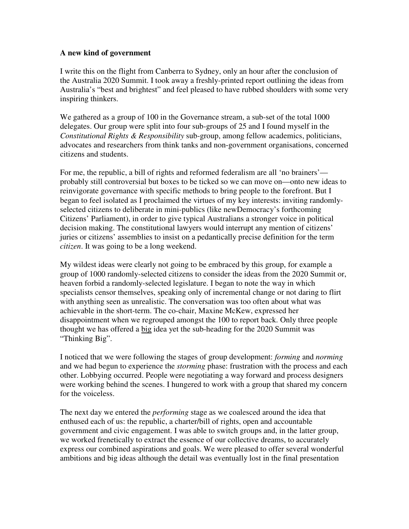## **A new kind of government**

I write this on the flight from Canberra to Sydney, only an hour after the conclusion of the Australia 2020 Summit. I took away a freshly-printed report outlining the ideas from Australia's "best and brightest" and feel pleased to have rubbed shoulders with some very inspiring thinkers.

We gathered as a group of 100 in the Governance stream, a sub-set of the total 1000 delegates. Our group were split into four sub-groups of 25 and I found myself in the *Constitutional Rights & Responsibility* sub-group, among fellow academics, politicians, advocates and researchers from think tanks and non-government organisations, concerned citizens and students.

For me, the republic, a bill of rights and reformed federalism are all 'no brainers' probably still controversial but boxes to be ticked so we can move on—onto new ideas to reinvigorate governance with specific methods to bring people to the forefront. But I began to feel isolated as I proclaimed the virtues of my key interests: inviting randomlyselected citizens to deliberate in mini-publics (like newDemocracy's forthcoming Citizens' Parliament), in order to give typical Australians a stronger voice in political decision making. The constitutional lawyers would interrupt any mention of citizens' juries or citizens' assemblies to insist on a pedantically precise definition for the term *citizen*. It was going to be a long weekend.

My wildest ideas were clearly not going to be embraced by this group, for example a group of 1000 randomly-selected citizens to consider the ideas from the 2020 Summit or, heaven forbid a randomly-selected legislature. I began to note the way in which specialists censor themselves, speaking only of incremental change or not daring to flirt with anything seen as unrealistic. The conversation was too often about what was achievable in the short-term. The co-chair, Maxine McKew, expressed her disappointment when we regrouped amongst the 100 to report back. Only three people thought we has offered a big idea yet the sub-heading for the 2020 Summit was "Thinking Big".

I noticed that we were following the stages of group development: *forming* and *norming* and we had begun to experience the *storming* phase: frustration with the process and each other. Lobbying occurred. People were negotiating a way forward and process designers were working behind the scenes. I hungered to work with a group that shared my concern for the voiceless.

The next day we entered the *performing* stage as we coalesced around the idea that enthused each of us: the republic, a charter/bill of rights, open and accountable government and civic engagement. I was able to switch groups and, in the latter group, we worked frenetically to extract the essence of our collective dreams, to accurately express our combined aspirations and goals. We were pleased to offer several wonderful ambitions and big ideas although the detail was eventually lost in the final presentation